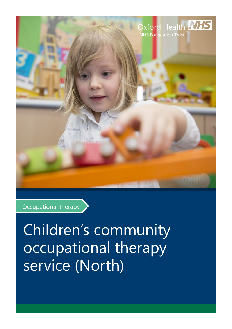

Occupational therapy

Children's community occupational therapy service (North)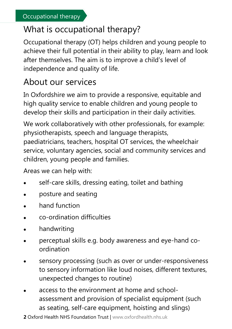## What is occupational therapy?

Occupational therapy (OT) helps children and young people to achieve their full potential in their ability to play, learn and look after themselves. The aim is to improve a child's level of independence and quality of life.

## About our services

In Oxfordshire we aim to provide a responsive, equitable and high quality service to enable children and young people to develop their skills and participation in their daily activities.

We work collaboratively with other professionals, for example: physiotherapists, speech and language therapists, paediatricians, teachers, hospital OT services, the wheelchair service, voluntary agencies, social and community services and children, young people and families.

Areas we can help with:

- self-care skills, dressing eating, toilet and bathing
- posture and seating
- hand function
- co-ordination difficulties
- handwriting
- perceptual skills e.g. body awareness and eye-hand coordination
- sensory processing (such as over or under-responsiveness to sensory information like loud noises, different textures, unexpected changes to routine)
- access to the environment at home and schoolassessment and provision of specialist equipment (such as seating, self-care equipment, hoisting and slings)
- **2** Oxford Health NHS Foundation Trust | www.oxfordhealth.nhs.uk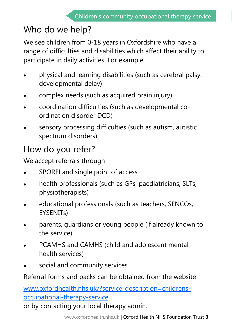# Who do we help?

We see children from 0-18 years in Oxfordshire who have a range of difficulties and disabilities which affect their ability to participate in daily activities. For example:

- physical and learning disabilities (such as cerebral palsy, developmental delay)
- complex needs (such as acquired brain injury)
- coordination difficulties (such as developmental coordination disorder DCD)
- sensory processing difficulties (such as autism, autistic spectrum disorders)

## How do you refer?

We accept referrals through

- SPORFI and single point of access
- health professionals (such as GPs, paediatricians, SLTs, physiotherapists)
- educational professionals (such as teachers, SENCOs, EYSENITs)
- parents, guardians or young people (if already known to the service)
- PCAMHS and CAMHS (child and adolescent mental health services)
- social and community services

Referral forms and packs can be obtained from the website

[www.oxfordhealth.nhs.uk/?service\\_description=childrens](http://www.oxfordhealth.nhs.uk/?service_description=childrens-occupational-therapy-service)[occupational-therapy-service](http://www.oxfordhealth.nhs.uk/?service_description=childrens-occupational-therapy-service)

or by contacting your local therapy admin.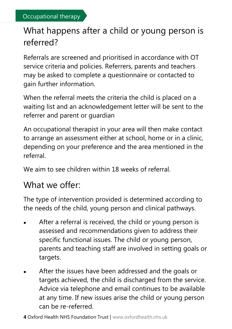# What happens after a child or young person is referred?

Referrals are screened and prioritised in accordance with OT service criteria and policies. Referrers, parents and teachers may be asked to complete a questionnaire or contacted to gain further information.

When the referral meets the criteria the child is placed on a waiting list and an acknowledgement letter will be sent to the referrer and parent or guardian

An occupational therapist in your area will then make contact to arrange an assessment either at school, home or in a clinic, depending on your preference and the area mentioned in the referral.

We aim to see children within 18 weeks of referral

## What we offer:

The type of intervention provided is determined according to the needs of the child, young person and clinical pathways.

- After a referral is received, the child or young person is assessed and recommendations given to address their specific functional issues. The child or young person, parents and teaching staff are involved in setting goals or targets.
- After the issues have been addressed and the goals or targets achieved, the child is discharged from the service. Advice via telephone and email continues to be available at any time. If new issues arise the child or young person can be re-referred.
- **4** Oxford Health NHS Foundation Trust | www.oxfordhealth.nhs.uk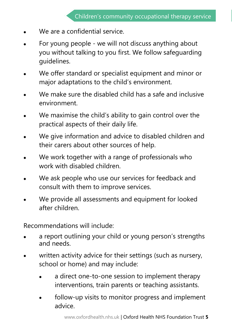- We are a confidential service.
- For young people we will not discuss anything about you without talking to you first. We follow safeguarding guidelines.
- We offer standard or specialist equipment and minor or major adaptations to the child's environment.
- We make sure the disabled child has a safe and inclusive environment.
- We maximise the child's ability to gain control over the practical aspects of their daily life.
- We give information and advice to disabled children and their carers about other sources of help.
- We work together with a range of professionals who work with disabled children.
- We ask people who use our services for feedback and consult with them to improve services.
- We provide all assessments and equipment for looked after children.

Recommendations will include:

- a report outlining your child or young person's strengths and needs.
- written activity advice for their settings (such as nursery, school or home) and may include:
	- a direct one-to-one session to implement therapy interventions, train parents or teaching assistants.
	- follow-up visits to monitor progress and implement advice.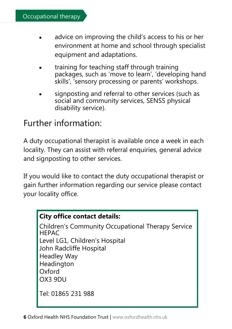- advice on improving the child's access to his or her environment at home and school through specialist equipment and adaptations.
- training for teaching staff through training packages, such as 'move to learn', 'developing hand skills', 'sensory processing or parents' workshops.
- signposting and referral to other services (such as social and community services, SENSS physical disability service).

## Further information:

A duty occupational therapist is available once a week in each locality. They can assist with referral enquiries, general advice and signposting to other services.

If you would like to contact the duty occupational therapist or gain further information regarding our service please contact your locality office.

#### **City office contact details:**

Children's Community Occupational Therapy Service HEPAC Level LG1, Children's Hospital John Radcliffe Hospital Headley Way **Headington** Oxford OX3 9DU Tel: 01865 231 988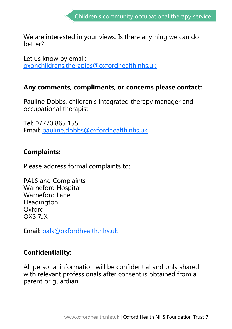We are interested in your views. Is there anything we can do better?

Let us know by email: [oxonchildrens.therapies@oxfordhealth.nhs.uk](mailto:oxonchildrens.therapies@oxfordhealth.nhs.uk)

#### **Any comments, compliments, or concerns please contact:**

Pauline Dobbs, children's integrated therapy manager and occupational therapist

Tel: 07770 865 155 Email: pauline.dobbs@oxfordhealth.nhs.uk

### **Complaints:**

Please address formal complaints to:

PALS and Complaints Warneford Hospital Warneford Lane Headington Oxford OX3 7JX

Email: pals@oxfordhealth.nhs.uk

### **Confidentiality:**

All personal information will be confidential and only shared with relevant professionals after consent is obtained from a parent or guardian.